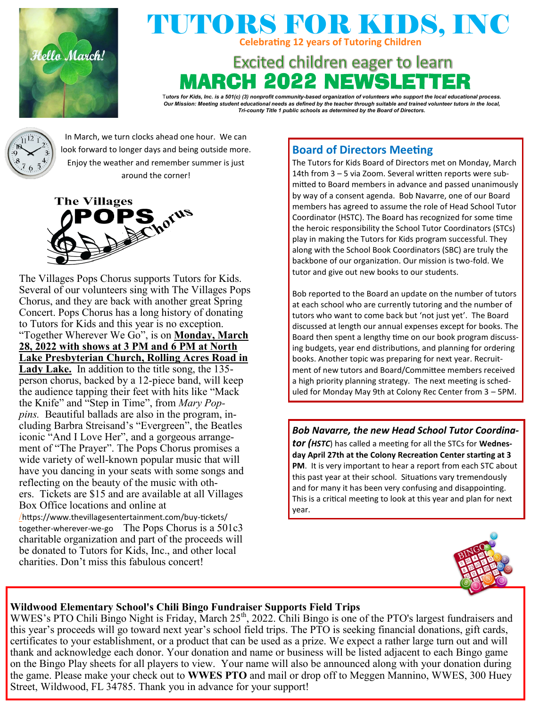

## TUTORS FOR KIDS, INC **Celebrating 12 years of Tutoring Children**

# **Excited children eager to learn** RCH 2022 NEWS

T*utors for Kids, Inc. is a 501(c) (3) nonprofit community-based organization of volunteers who support the local educational process. Our Mission: Meeting student educational needs as defined by the teacher through suitable and trained volunteer tutors in the local, Tri-county Title 1 public schools as determined by the Board of Directors.*



In March, we turn clocks ahead one hour. We can look forward to longer days and being outside more. Enjoy the weather and remember summer is just around the corner!



The Villages Pops Chorus supports Tutors for Kids. Several of our volunteers sing with The Villages Pops Chorus, and they are back with another great Spring Concert. Pops Chorus has a long history of donating to Tutors for Kids and this year is no exception. "Together Wherever We Go", is on **Monday, March 28, 2022 with shows at 3 PM and 6 PM at North Lake Presbyterian Church, Rolling Acres Road in Lady Lake.** In addition to the title song, the 135 person chorus, backed by a 12-piece band, will keep the audience tapping their feet with hits like "Mack the Knife" and "Step in Time", from *Mary Poppins.* Beautiful ballads are also in the program, including Barbra Streisand's "Evergreen", the Beatles iconic "And I Love Her", and a gorgeous arrangement of "The Prayer". The Pops Chorus promises a wide variety of well-known popular music that will have you dancing in your seats with some songs and reflecting on the beauty of the music with others. Tickets are \$15 and are available at all Villages Box Office locations and online at /[htt](https://www.thevillagesentertainment.com/buy-tickets/together-wherever-we-go/)ps://www.thevillagesentertainment.com/buy-tickets/ together-wherever-we-go The Pops Chorus is a 501c3 charitable organization and part of the proceeds will be donated to Tutors for Kids, Inc., and other local

charities. Don't miss this fabulous concert!

## **Board of Directors Meeting**

The Tutors for Kids Board of Directors met on Monday, March 14th from 3 – 5 via Zoom. Several written reports were submitted to Board members in advance and passed unanimously by way of a consent agenda. Bob Navarre, one of our Board members has agreed to assume the role of Head School Tutor Coordinator (HSTC). The Board has recognized for some time the heroic responsibility the School Tutor Coordinators (STCs) play in making the Tutors for Kids program successful. They along with the School Book Coordinators (SBC) are truly the backbone of our organization. Our mission is two-fold. We tutor and give out new books to our students.

Bob reported to the Board an update on the number of tutors at each school who are currently tutoring and the number of tutors who want to come back but 'not just yet'. The Board discussed at length our annual expenses except for books. The Board then spent a lengthy time on our book program discussing budgets, year end distributions, and planning for ordering books. Another topic was preparing for next year. Recruitment of new tutors and Board/Committee members received a high priority planning strategy. The next meeting is scheduled for Monday May 9th at Colony Rec Center from 3 – 5PM.

*Bob Navarre, the new Head School Tutor Coordinator (HSTC*) has called a meeting for all the STCs for **Wednesday April 27th at the Colony Recreation Center starting at 3 PM**. It is very important to hear a report from each STC about this past year at their school. Situations vary tremendously and for many it has been very confusing and disappointing. This is a critical meeting to look at this year and plan for next year.



### **Wildwood Elementary School's Chili Bingo Fundraiser Supports Field Trips**

 thank and acknowledge each donor. Your donation and name or business will be listed adjacent to each Bingo game WWES's PTO Chili Bingo Night is Friday, March 25<sup>th</sup>, 2022. Chili Bingo is one of the PTO's largest fundraisers and this year's proceeds will go toward next year's school field trips. The PTO is seeking financial donations, gift cards, certificates to your establishment, or a product that can be used as a prize. We expect a rather large turn out and will on the Bingo Play sheets for all players to view. Your name will also be announced along with your donation during the game. Please make your check out to **WWES PTO** and mail or drop off to Meggen Mannino, WWES, 300 Huey Street, Wildwood, FL 34785. Thank you in advance for your support!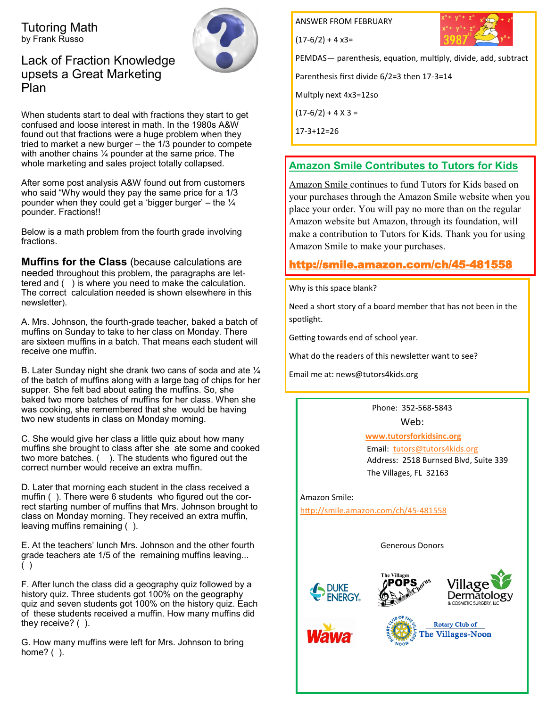Tutoring Math by Frank Russo



Lack of Fraction Knowledge upsets a Great Marketing Plan

When students start to deal with fractions they start to get confused and loose interest in math. In the 1980s A&W found out that fractions were a huge problem when they tried to market a new burger – the 1/3 pounder to compete with another chains ¼ pounder at the same price. The whole marketing and sales project totally collapsed.

After some post analysis A&W found out from customers who said "Why would they pay the same price for a 1/3 pounder when they could get a 'bigger burger' – the  $\frac{1}{4}$ pounder. Fractions!!

Below is a math problem from the fourth grade involving fractions.

**Muffins for the Class** (because calculations are needed throughout this problem, the paragraphs are lettered and ( ) is where you need to make the calculation. The correct calculation needed is shown elsewhere in this newsletter).

A. Mrs. Johnson, the fourth-grade teacher, baked a batch of muffins on Sunday to take to her class on Monday. There are sixteen muffins in a batch. That means each student will receive one muffin.

B. Later Sunday night she drank two cans of soda and ate ¼ of the batch of muffins along with a large bag of chips for her supper. She felt bad about eating the muffins. So, she baked two more batches of muffins for her class. When she was cooking, she remembered that she would be having two new students in class on Monday morning.

C. She would give her class a little quiz about how many muffins she brought to class after she ate some and cooked two more batches. ( ). The students who figured out the correct number would receive an extra muffin.

D. Later that morning each student in the class received a muffin ( ). There were 6 students who figured out the correct starting number of muffins that Mrs. Johnson brought to class on Monday morning. They received an extra muffin, leaving muffins remaining ( ).

E. At the teachers' lunch Mrs. Johnson and the other fourth grade teachers ate 1/5 of the remaining muffins leaving... ( )

F. After lunch the class did a geography quiz followed by a history quiz. Three students got 100% on the geography quiz and seven students got 100% on the history quiz. Each of these students received a muffin. How many muffins did they receive? ( ).

G. How many muffins were left for Mrs. Johnson to bring home? ( ).

**ANSWER FROM FEBRUARY** 

 $(17-6/2) + 4x3=$ 



PEMDAS— parenthesis, equation, multiply, divide, add, subtract

Parenthesis first divide 6/2=3 then 17-3=14

Multply next 4x3=12so

 $(17-6/2) + 4 \times 3 =$ 

17-3+12=26

### **Amazon Smile Contributes to Tutors for Kids**

Amazon Smile continues to fund Tutors for Kids based on your purchases through the Amazon Smile website when you place your order. You will pay no more than on the regular Amazon website but Amazon, through its foundation, will make a contribution to Tutors for Kids. Thank you for using Amazon Smile to make your purchases.

## [http://smile.amazon.com/ch/45](http://smile.amazon.com/ch/45-4815598)-481558

Why is this space blank?

Need a short story of a board member that has not been in the spotlight.

Getting towards end of school year.

What do the readers of this newsletter want to see?

Email me at: news@tutors4kids.org

Phone: 352-568-5843

Web:

#### **[www.tutorsforkidsinc.org](http://www.tutorsforkidsinc.org)**

 Email: [tutors@tutors4kids.org](mailto:tutors@tutors4kids.org) Address: 2518 Burnsed Blvd, Suite 339 The Villages, FL 32163

Amazon Smile: [http://smile.amazon.com/ch/45](http://smile.amazon.com/ch/45-481558)-481558

Generous Donors